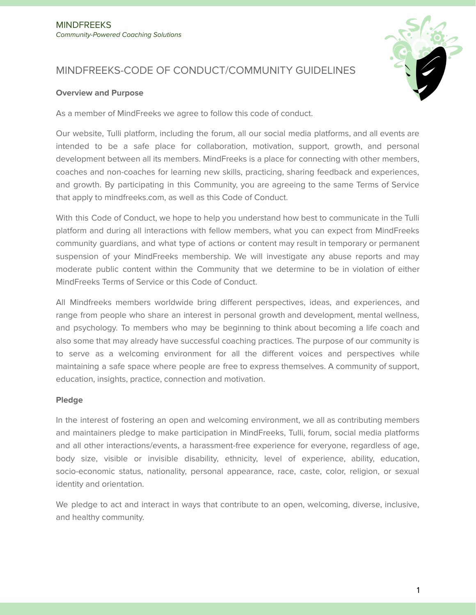

# MINDFREEKS-CODE OF CONDUCT/COMMUNITY GUIDELINES

#### **Overview and Purpose**

As a member of MindFreeks we agree to follow this code of conduct.

Our website, Tulli platform, including the forum, all our social media platforms, and all events are intended to be a safe place for collaboration, motivation, support, growth, and personal development between all its members. MindFreeks is a place for connecting with other members, coaches and non-coaches for learning new skills, practicing, sharing feedback and experiences, and growth. By participating in this Community, you are agreeing to the same Terms of Service that apply to mindfreeks.com, as well as this Code of Conduct.

With this Code of Conduct, we hope to help you understand how best to communicate in the Tulli platform and during all interactions with fellow members, what you can expect from MindFreeks community guardians, and what type of actions or content may result in temporary or permanent suspension of your MindFreeks membership. We will investigate any abuse reports and may moderate public content within the Community that we determine to be in violation of either MindFreeks Terms of Service or this Code of Conduct.

All Mindfreeks members worldwide bring different perspectives, ideas, and experiences, and range from people who share an interest in personal growth and development, mental wellness, and psychology. To members who may be beginning to think about becoming a life coach and also some that may already have successful coaching practices. The purpose of our community is to serve as a welcoming environment for all the different voices and perspectives while maintaining a safe space where people are free to express themselves. A community of support, education, insights, practice, connection and motivation.

## **Pledge**

In the interest of fostering an open and welcoming environment, we all as contributing members and maintainers pledge to make participation in MindFreeks, Tulli, forum, social media platforms and all other interactions/events, a harassment-free experience for everyone, regardless of age, body size, visible or invisible disability, ethnicity, level of experience, ability, education, socio-economic status, nationality, personal appearance, race, caste, color, religion, or sexual identity and orientation.

We pledge to act and interact in ways that contribute to an open, welcoming, diverse, inclusive, and healthy community.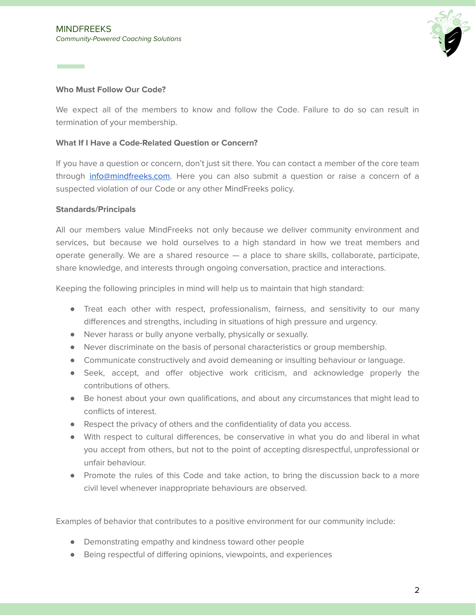

# **Who Must Follow Our Code?**

**Contract Contract** 

We expect all of the members to know and follow the Code. Failure to do so can result in termination of your membership.

## **What If I Have a Code-Related Question or Concern?**

If you have a question or concern, don't just sit there. You can contact a member of the core team through [info@mindfreeks.com.](mailto:info@mindfreeks.com) Here you can also submit a question or raise a concern of a suspected violation of our Code or any other MindFreeks policy.

## **Standards/Principals**

All our members value MindFreeks not only because we deliver community environment and services, but because we hold ourselves to a high standard in how we treat members and operate generally. We are a shared resource — a place to share skills, collaborate, participate, share knowledge, and interests through ongoing conversation, practice and interactions.

Keeping the following principles in mind will help us to maintain that high standard:

- Treat each other with respect, professionalism, fairness, and sensitivity to our many differences and strengths, including in situations of high pressure and urgency.
- Never harass or bully anyone verbally, physically or sexually.
- Never discriminate on the basis of personal characteristics or group membership.
- Communicate constructively and avoid demeaning or insulting behaviour or language.
- Seek, accept, and offer objective work criticism, and acknowledge properly the contributions of others.
- Be honest about your own qualifications, and about any circumstances that might lead to conflicts of interest.
- Respect the privacy of others and the confidentiality of data you access.
- With respect to cultural differences, be conservative in what you do and liberal in what you accept from others, but not to the point of accepting disrespectful, unprofessional or unfair behaviour.
- Promote the rules of this Code and take action, to bring the discussion back to a more civil level whenever inappropriate behaviours are observed.

Examples of behavior that contributes to a positive environment for our community include:

- Demonstrating empathy and kindness toward other people
- Being respectful of differing opinions, viewpoints, and experiences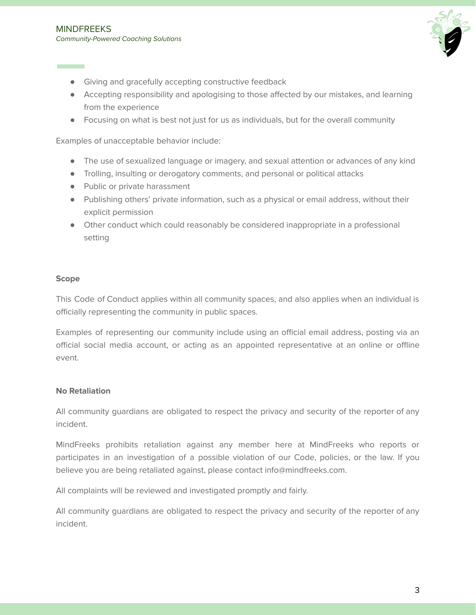

- Giving and gracefully accepting constructive feedback
- Accepting responsibility and apologising to those affected by our mistakes, and learning from the experience
- Focusing on what is best not just for us as individuals, but for the overall community

Examples of unacceptable behavior include:

- The use of sexualized language or imagery, and sexual attention or advances of any kind
- Trolling, insulting or derogatory comments, and personal or political attacks
- Public or private harassment
- Publishing others' private information, such as a physical or email address, without their explicit permission
- Other conduct which could reasonably be considered inappropriate in a professional setting

#### **Scope**

This Code of Conduct applies within all community spaces, and also applies when an individual is officially representing the community in public spaces.

Examples of representing our community include using an official email address, posting via an official social media account, or acting as an appointed representative at an online or offline event.

#### **No Retaliation**

All community guardians are obligated to respect the privacy and security of the reporter of any incident.

MindFreeks prohibits retaliation against any member here at MindFreeks who reports or participates in an investigation of a possible violation of our Code, policies, or the law. If you believe you are being retaliated against, please contact info@mindfreeks.com.

All complaints will be reviewed and investigated promptly and fairly.

All community guardians are obligated to respect the privacy and security of the reporter of any incident.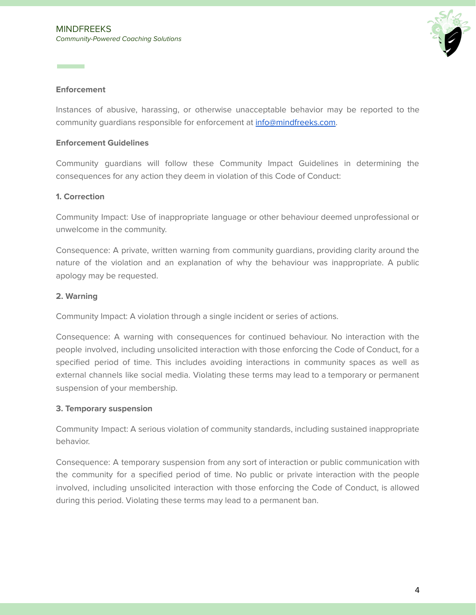

## **Enforcement**

**Contract Contract** 

Instances of abusive, harassing, or otherwise unacceptable behavior may be reported to the community guardians responsible for enforcement at [info@mindfreeks.com.](mailto:info@mindfreeks.com)

## **Enforcement Guidelines**

Community guardians will follow these Community Impact Guidelines in determining the consequences for any action they deem in violation of this Code of Conduct:

## **1. Correction**

Community Impact: Use of inappropriate language or other behaviour deemed unprofessional or unwelcome in the community.

Consequence: A private, written warning from community guardians, providing clarity around the nature of the violation and an explanation of why the behaviour was inappropriate. A public apology may be requested.

## **2. Warning**

Community Impact: A violation through a single incident or series of actions.

Consequence: A warning with consequences for continued behaviour. No interaction with the people involved, including unsolicited interaction with those enforcing the Code of Conduct, for a specified period of time. This includes avoiding interactions in community spaces as well as external channels like social media. Violating these terms may lead to a temporary or permanent suspension of your membership.

#### **3. Temporary suspension**

Community Impact: A serious violation of community standards, including sustained inappropriate behavior.

Consequence: A temporary suspension from any sort of interaction or public communication with the community for a specified period of time. No public or private interaction with the people involved, including unsolicited interaction with those enforcing the Code of Conduct, is allowed during this period. Violating these terms may lead to a permanent ban.